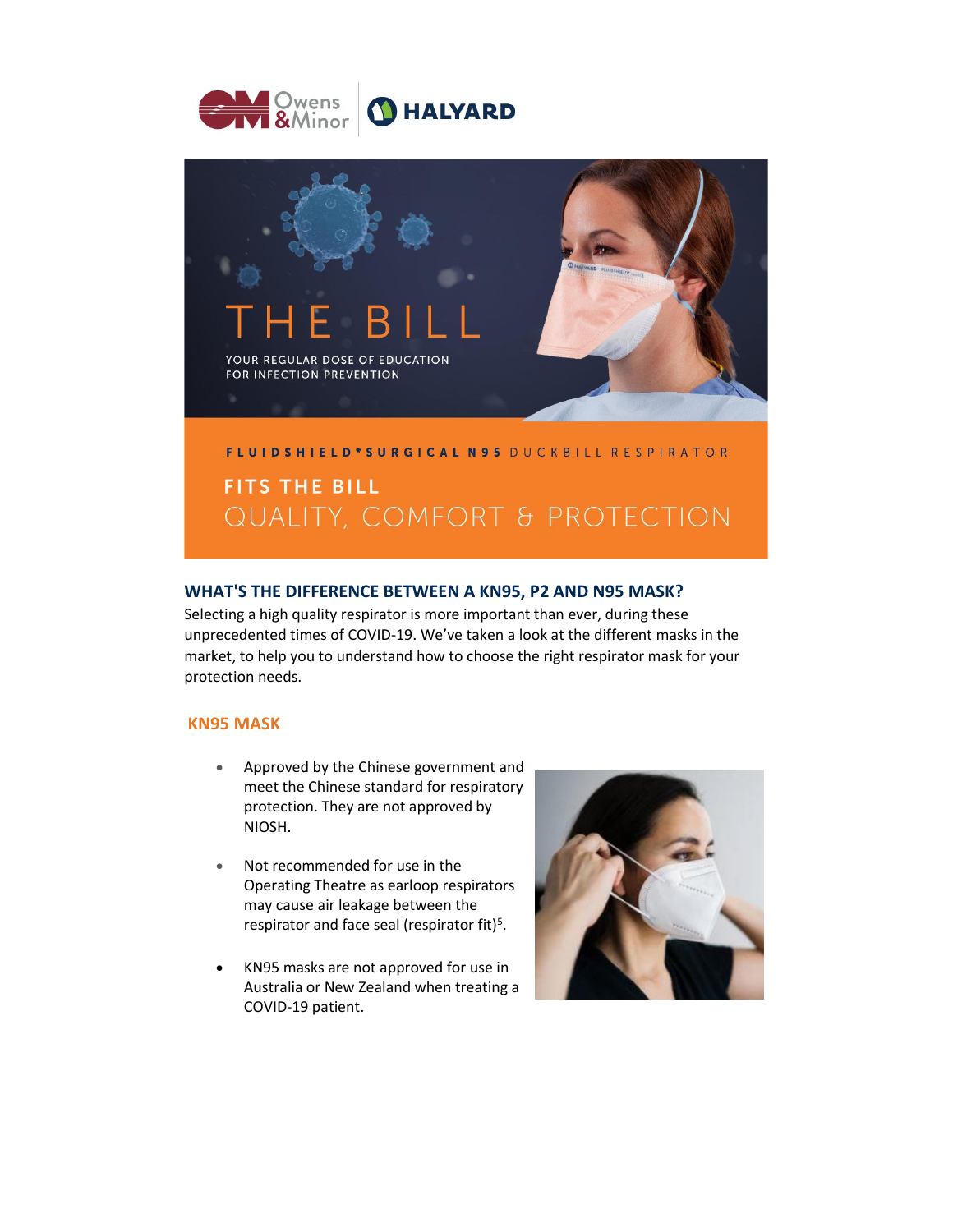



### **WHAT'S THE DIFFERENCE BETWEEN A KN95, P2 AND N95 MASK?**

Selecting a high quality respirator is more important than ever, during these unprecedented times of COVID-19. We've taken a look at the different masks in the market, to help you to understand how to choose the right respirator mask for your protection needs.

#### **KN95 MASK**

- Approved by the Chinese government and meet the Chinese standard for respiratory protection. They are not approved by NIOSH.
- Not recommended for use in the Operating Theatre as earloop respirators may cause air leakage between the respirator and face seal (respirator fit)<sup>5</sup>.
- KN95 masks are not approved for use in Australia or New Zealand when treating a COVID-19 patient.

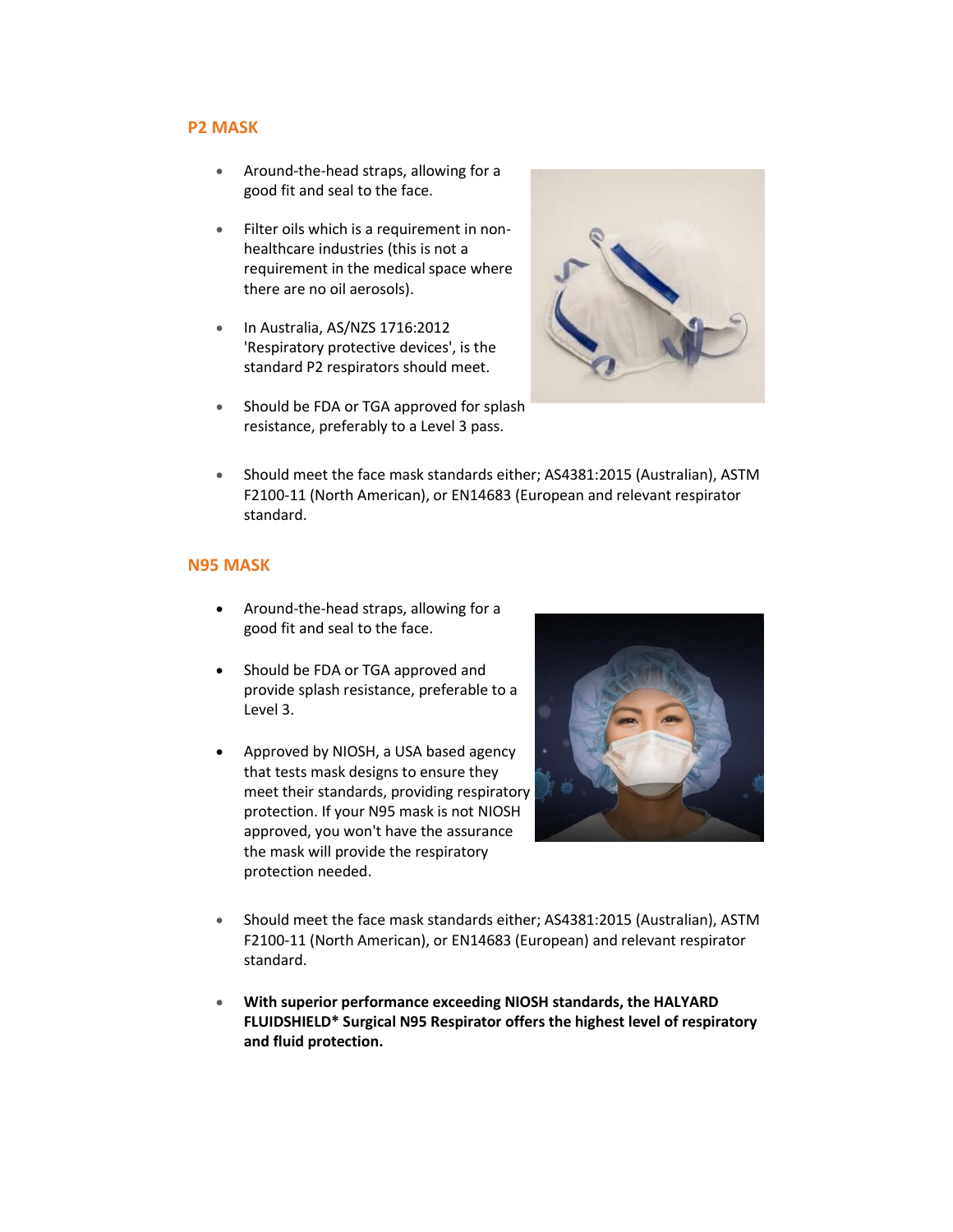#### **P2 MASK**

- Around-the-head straps, allowing for a good fit and seal to the face.
- Filter oils which is a requirement in nonhealthcare industries (this is not a requirement in the medical space where there are no oil aerosols).
- In Australia, AS/NZS 1716:2012 'Respiratory protective devices', is the standard P2 respirators should meet.



- Should be FDA or TGA approved for splash resistance, preferably to a Level 3 pass.
- Should meet the face mask standards either; AS4381:2015 (Australian), ASTM F2100-11 (North American), or EN14683 (European and relevant respirator standard.

## **N95 MASK**

- Around-the-head straps, allowing for a good fit and seal to the face.
- Should be FDA or TGA approved and provide splash resistance, preferable to a Level 3.
- Approved by NIOSH, a USA based agency that tests mask designs to ensure they meet their standards, providing respiratory protection. If your N95 mask is not NIOSH approved, you won't have the assurance the mask will provide the respiratory protection needed.



- Should meet the face mask standards either; AS4381:2015 (Australian), ASTM F2100-11 (North American), or EN14683 (European) and relevant respirator standard.
- **With superior performance exceeding NIOSH standards, the HALYARD FLUIDSHIELD\* Surgical N95 Respirator offers the highest level of respiratory and fluid protection.**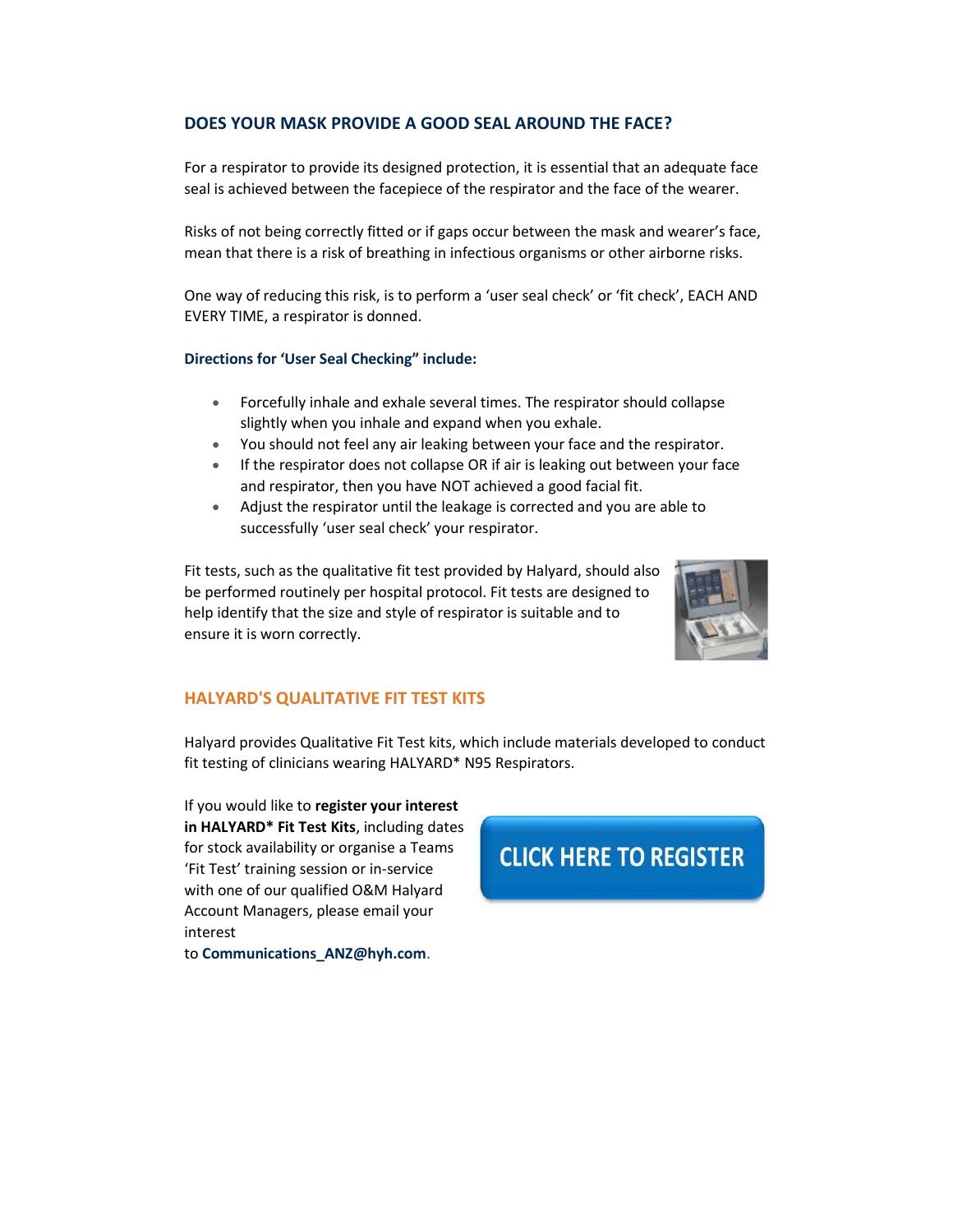## **DOES YOUR MASK PROVIDE A GOOD SEAL AROUND THE FACE?**

For a respirator to provide its designed protection, it is essential that an adequate face seal is achieved between the facepiece of the respirator and the face of the wearer.

Risks of not being correctly fitted or if gaps occur between the mask and wearer's face, mean that there is a risk of breathing in infectious organisms or other airborne risks.

One way of reducing this risk, is to perform a 'user seal check' or 'fit check', EACH AND EVERY TIME, a respirator is donned.

#### **Directions for 'User Seal Checking" include:**

- Forcefully inhale and exhale several times. The respirator should collapse slightly when you inhale and expand when you exhale.
- You should not feel any air leaking between your face and the respirator.
- If the respirator does not collapse OR if air is leaking out between your face and respirator, then you have NOT achieved a good facial fit.
- Adjust the respirator until the leakage is corrected and you are able to successfully 'user seal check' your respirator.

Fit tests, such as the qualitative fit test provided by Halyard, should also be performed routinely per hospital protocol. Fit tests are designed to help identify that the size and style of respirator is suitable and to ensure it is worn correctly.



#### **HALYARD'S QUALITATIVE FIT TEST KITS**

Halyard provides Qualitative Fit Test kits, which include materials developed to conduct fit testing of clinicians wearing HALYARD\* N95 Respirators.

If you would like to **register your interest in HALYARD\* Fit Test Kits**, including dates for stock availability or organise a Teams 'Fit Test' training session or in-service with one of our qualified O&M Halyard Account Managers, please email your interest

to **[Communications\\_ANZ@hyh.com](https://nam10.safelinks.protection.outlook.com/?url=https%3A%2F%2Fgo.halyardhealth.com%2FNzk4LUxVSy03MzEAAAF7_EfbYsfPAGKPCg6Gl7v0vacDQGyqiMreBzgLGOeolFYc32ZQwKJth-jaOmwnbRgy1FUOipo%3D&data=04%7C01%7Cashley.provest%40hyh.com%7Cd1276488c0854e09084c08d8edb2ded2%7C38b948c87d3c4e288e6b6a8857873280%7C0%7C0%7C637520699781490345%7CUnknown%7CTWFpbGZsb3d8eyJWIjoiMC4wLjAwMDAiLCJQIjoiV2luMzIiLCJBTiI6Ik1haWwiLCJXVCI6Mn0%3D%7C1000&sdata=yFViWT8NyW8DzuaeRzFzQbRdvcYCXIsezJWQuAw6anI%3D&reserved=0)**.

# **CLICK HERE TO REGISTER**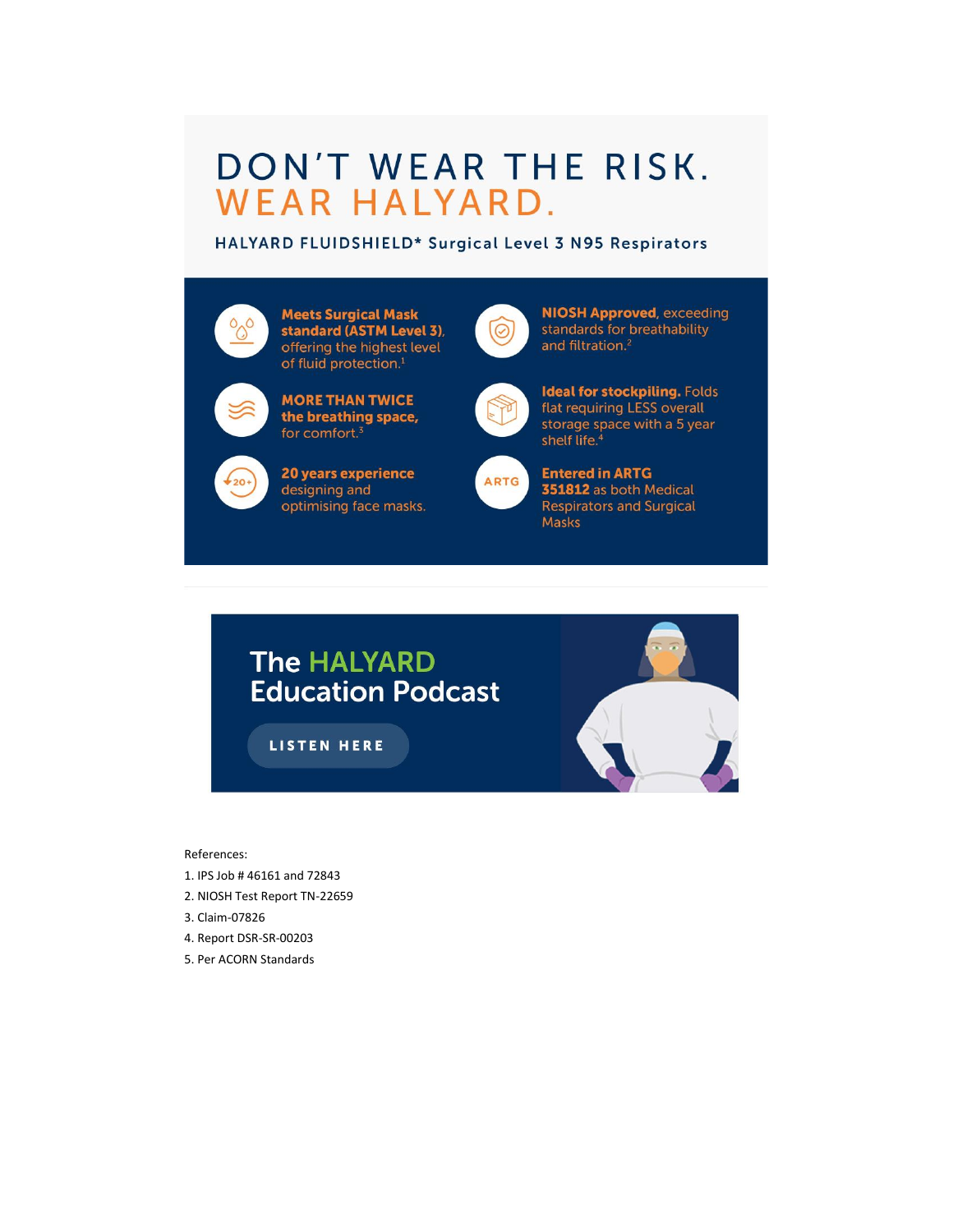# DON'T WEAR THE RISK. WEAR HALYARD.

HALYARD FLUIDSHIELD\* Surgical Level 3 N95 Respirators

| <b>Meets Surgical Mask</b><br>standard (ASTM Level 3),<br>offering the highest level<br>of fluid protection. <sup>1</sup> | Ø           | <b>NIOSH Approved, exceeding</b><br>standards for breathability<br>and filtration. <sup>2</sup>                               |
|---------------------------------------------------------------------------------------------------------------------------|-------------|-------------------------------------------------------------------------------------------------------------------------------|
| <b>MORE THAN TWICE</b><br>the breathing space,<br>for comfort. <sup>3</sup>                                               |             | <b>Ideal for stockpiling. Folds</b><br>flat requiring LESS overall<br>storage space with a 5 year<br>shelf life. <sup>4</sup> |
| 20 years experience<br>designing and<br>optimising face masks.                                                            | <b>ARTG</b> | <b>Entered in ARTG</b><br>351812 as both Medical<br><b>Respirators and Surgical</b>                                           |

**Masks** 

# The HALYARD **Education Podcast**

LISTEN HERE



References:

- 1. IPS Job # 46161 and 72843
- 2. NIOSH Test Report TN-22659
- 3. Claim-07826
- 4. Report DSR-SR-00203
- 5. Per ACORN Standards